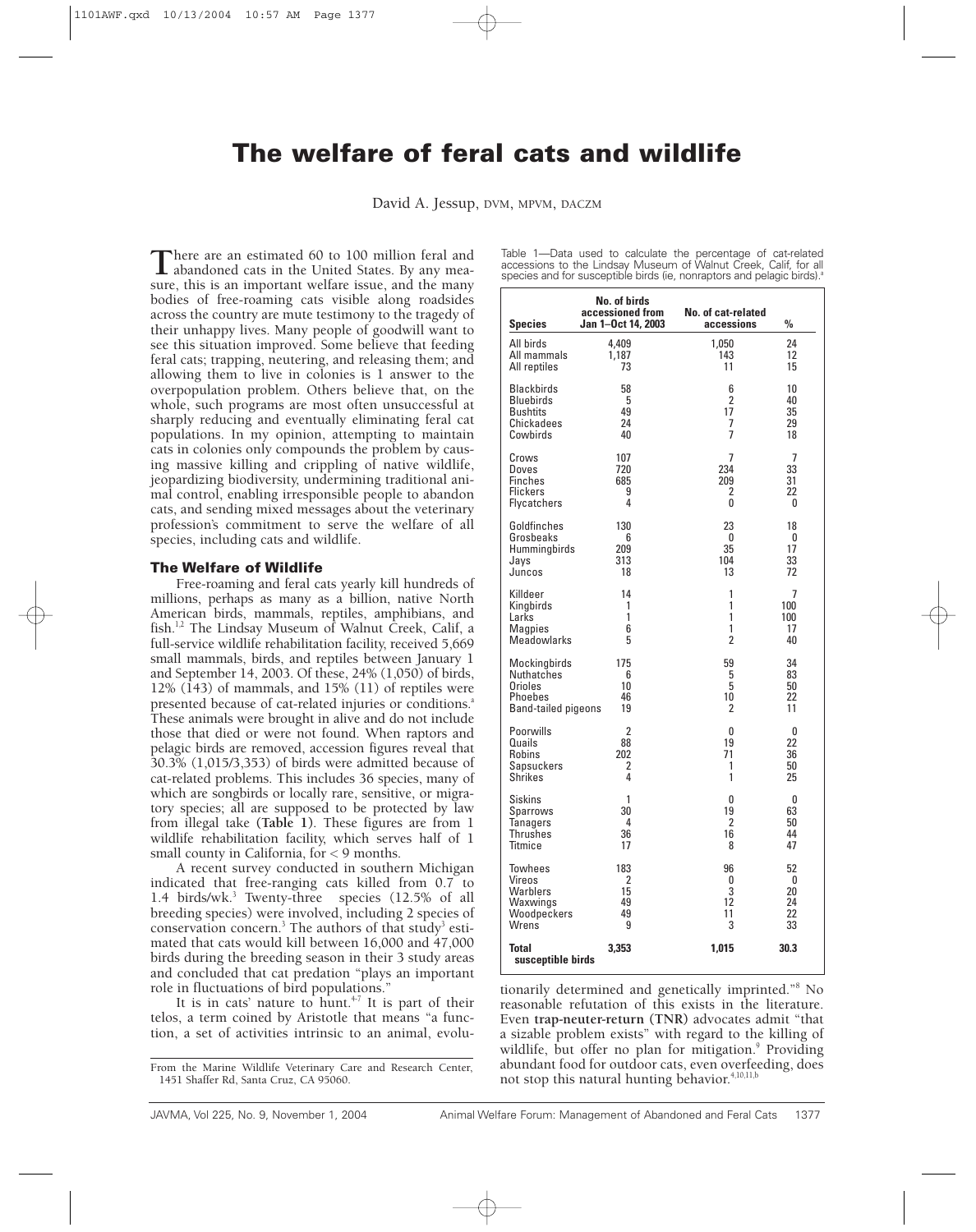# **The welfare of feral cats and wildlife**

David A. Jessup, DVM, MPVM, DACZM

There are an estimated 60 to 100 million feral and<br>abandoned cats in the United States. By any mea-<br>auto-this is an important welfare issue, and the many sure, this is an important welfare issue, and the many bodies of free-roaming cats visible along roadsides across the country are mute testimony to the tragedy of their unhappy lives. Many people of goodwill want to see this situation improved. Some believe that feeding feral cats; trapping, neutering, and releasing them; and allowing them to live in colonies is 1 answer to the overpopulation problem. Others believe that, on the whole, such programs are most often unsuccessful at sharply reducing and eventually eliminating feral cat populations. In my opinion, attempting to maintain cats in colonies only compounds the problem by causing massive killing and crippling of native wildlife, jeopardizing biodiversity, undermining traditional animal control, enabling irresponsible people to abandon cats, and sending mixed messages about the veterinary profession's commitment to serve the welfare of all species, including cats and wildlife.

#### **The Welfare of Wildlife**

Free-roaming and feral cats yearly kill hundreds of millions, perhaps as many as a billion, native North American birds, mammals, reptiles, amphibians, and fish.<sup>1,2</sup> The Lindsay Museum of Walnut Creek, Calif, a full-service wildlife rehabilitation facility, received 5,669 small mammals, birds, and reptiles between January 1 and September 14, 2003. Of these, 24% (1,050) of birds,  $12\%$  (143) of mammals, and 15% (11) of reptiles were presented because of cat-related injuries or conditions.<sup>a</sup> These animals were brought in alive and do not include those that died or were not found. When raptors and pelagic birds are removed, accession figures reveal that 30.3% (1,015/3,353) of birds were admitted because of cat-related problems. This includes 36 species, many of which are songbirds or locally rare, sensitive, or migratory species; all are supposed to be protected by law from illegal take **(Table 1)**. These figures are from 1 wildlife rehabilitation facility, which serves half of 1 small county in California, for < 9 months.

A recent survey conducted in southern Michigan indicated that free-ranging cats killed from 0.7 to 1.4 birds/wk.<sup>3</sup> Twenty-three species (12.5% of all breeding species) were involved, including 2 species of conservation concern.<sup>3</sup> The authors of that study<sup>3</sup> estimated that cats would kill between 16,000 and 47,000 birds during the breeding season in their 3 study areas and concluded that cat predation "plays an important role in fluctuations of bird populations."

It is in cats' nature to hunt. $47$  It is part of their telos, a term coined by Aristotle that means "a function, a set of activities intrinsic to an animal, evolu-

| <b>Species</b>                    | No. of birds<br>accessioned from<br>Jan 1-Oct 14, 2003 | No. of cat-related<br>accessions | $\%$ |
|-----------------------------------|--------------------------------------------------------|----------------------------------|------|
| All birds                         | 4,409                                                  | 1,050                            | 24   |
| All mammals                       | 1,187                                                  | 143                              | 12   |
| All reptiles                      | 73                                                     | 11                               | 15   |
| <b>Blackbirds</b>                 | 58                                                     | 6                                | 10   |
| <b>Bluebirds</b>                  | 5                                                      | $\overline{2}$                   | 40   |
| <b>Bushtits</b>                   | 49                                                     | 17                               | 35   |
| Chickadees                        | 24                                                     | 7                                | 29   |
| Cowbirds                          | 40                                                     | 7                                | 18   |
| Crows                             | 107                                                    | 7                                | 7    |
| Doves                             | 720                                                    | 234                              | 33   |
| Finches                           | 685                                                    | 209                              | 31   |
| Flickers                          | 9                                                      | 2                                | 22   |
| Flycatchers                       | 4                                                      | 0                                | 0    |
| Goldfinches                       | 130                                                    | 23                               | 18   |
| Grosbeaks                         | 6                                                      | 0                                | 0    |
| Hummingbirds                      | 209                                                    | 35                               | 17   |
| Jays                              | 313                                                    | 104                              | 33   |
| Juncos                            | 18                                                     | 13                               | 72   |
| Killdeer                          | 14                                                     | 1                                | 7    |
| Kingbirds                         | 1                                                      | 1                                | 100  |
| Larks                             | 1                                                      | 1                                | 100  |
| Magpies                           | 6                                                      | 1                                | 17   |
| Meadowlarks                       | 5                                                      | 2                                | 40   |
| Mockingbirds                      | 175                                                    | 59                               | 34   |
| Nuthatches                        | 6                                                      | 5                                | 83   |
| Orioles                           | 10                                                     | 5                                | 50   |
| Phoebes                           | 46                                                     | 10                               | 22   |
| <b>Band-tailed pigeons</b>        | 19                                                     | 2                                | 11   |
| Poorwills                         | $\overline{2}$                                         | 0                                | 0    |
| Quails                            | 88                                                     | 19                               | 22   |
| Robins                            | 202                                                    | 71                               | 36   |
| Sapsuckers                        | 2                                                      | 1                                | 50   |
| Shrikes                           | 4                                                      | 1                                | 25   |
| Siskins                           | 1                                                      | 0                                | 0    |
| Sparrows                          | 30                                                     | 19                               | 63   |
| Tanagers                          | 4                                                      | 2                                | 50   |
| Thrushes                          | 36                                                     | 16                               | 44   |
| Titmice                           | 17                                                     | 8                                | 47   |
| <b>Towhees</b>                    | 183                                                    | 96                               | 52   |
| Vireos                            | 2                                                      | 0                                | 0    |
| Warblers                          | 15                                                     | 3                                | 20   |
| Waxwings                          | 49                                                     | 12                               | 24   |
| Woodpeckers                       | 49                                                     | 11                               | 22   |
| Wrens                             | 9                                                      | 3                                | 33   |
| <b>Total</b><br>suscentible birds | 3,353                                                  | 1,015                            | 30.3 |

Table 1—Data used to calculate the percentage of cat-related accessions to the Lindsay Museum of Walnut Creek, Calif, for all species and for susceptible birds (ie, nonraptors and pelagic birds).<sup>a</sup>

tionarily determined and genetically imprinted."8 No reasonable refutation of this exists in the literature. Even **trap-neuter-return (TNR)** advocates admit "that a sizable problem exists" with regard to the killing of wildlife, but offer no plan for mitigation.<sup>9</sup> Providing abundant food for outdoor cats, even overfeeding, does

From the Marine Wildlife Veterinary Care and Research Center, abundant food for outdoor cats, even overle<br>1451 Shaffer Rd, Santa Cruz, CA 95060. 1451 Shaffer Rd, Santa Cruz, CA 95060.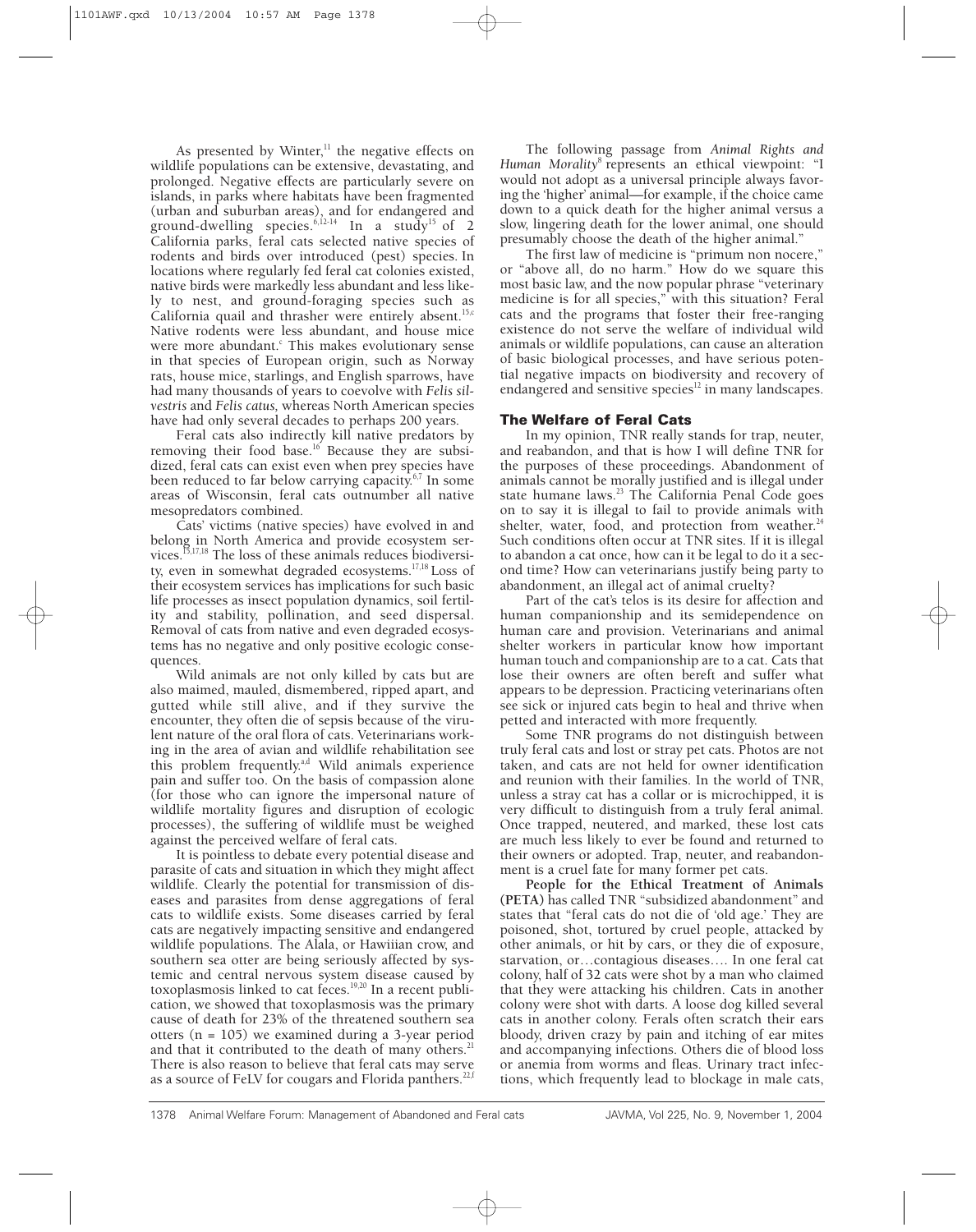As presented by Winter, $11$  the negative effects on wildlife populations can be extensive, devastating, and prolonged. Negative effects are particularly severe on islands, in parks where habitats have been fragmented (urban and suburban areas), and for endangered and ground-dwelling species.<sup>6,12-14</sup> In a study<sup>15</sup> of 2 California parks, feral cats selected native species of rodents and birds over introduced (pest) species. In locations where regularly fed feral cat colonies existed, native birds were markedly less abundant and less likely to nest, and ground-foraging species such as California quail and thrasher were entirely absent.<sup>15,c</sup> Native rodents were less abundant, and house mice were more abundant.<sup>c</sup> This makes evolutionary sense in that species of European origin, such as Norway rats, house mice, starlings, and English sparrows, have had many thousands of years to coevolve with *Felis silvestris* and *Felis catus,* whereas North American species have had only several decades to perhaps 200 years*.* 

Feral cats also indirectly kill native predators by removing their food base.<sup>16</sup> Because they are subsidized, feral cats can exist even when prey species have been reduced to far below carrying capacity.<sup>6,7</sup> In some areas of Wisconsin, feral cats outnumber all native mesopredators combined.

Cats' victims (native species) have evolved in and belong in North America and provide ecosystem services.15,17,18 The loss of these animals reduces biodiversity, even in somewhat degraded ecosystems.17,18 Loss of their ecosystem services has implications for such basic life processes as insect population dynamics, soil fertility and stability, pollination, and seed dispersal. Removal of cats from native and even degraded ecosystems has no negative and only positive ecologic consequences.

Wild animals are not only killed by cats but are also maimed, mauled, dismembered, ripped apart, and gutted while still alive, and if they survive the encounter, they often die of sepsis because of the virulent nature of the oral flora of cats. Veterinarians working in the area of avian and wildlife rehabilitation see this problem frequently.<sup>a,d</sup> Wild animals experience pain and suffer too. On the basis of compassion alone (for those who can ignore the impersonal nature of wildlife mortality figures and disruption of ecologic processes), the suffering of wildlife must be weighed against the perceived welfare of feral cats.

It is pointless to debate every potential disease and parasite of cats and situation in which they might affect wildlife. Clearly the potential for transmission of diseases and parasites from dense aggregations of feral cats to wildlife exists. Some diseases carried by feral cats are negatively impacting sensitive and endangered wildlife populations. The Alala, or Hawiiian crow, and southern sea otter are being seriously affected by systemic and central nervous system disease caused by toxoplasmosis linked to cat feces.<sup>19,20</sup> In a recent publication, we showed that toxoplasmosis was the primary cause of death for 23% of the threatened southern sea otters (n = 105) we examined during a 3-year period and that it contributed to the death of many others. $21$ There is also reason to believe that feral cats may serve as a source of FeLV for cougars and Florida panthers. $^{22,4}$ 

The following passage from *Animal Rights and Human Morality*8 represents an ethical viewpoint: "I would not adopt as a universal principle always favoring the 'higher' animal—for example, if the choice came down to a quick death for the higher animal versus a slow, lingering death for the lower animal, one should presumably choose the death of the higher animal."

The first law of medicine is "primum non nocere," or "above all, do no harm." How do we square this most basic law, and the now popular phrase "veterinary medicine is for all species," with this situation? Feral cats and the programs that foster their free-ranging existence do not serve the welfare of individual wild animals or wildlife populations, can cause an alteration of basic biological processes, and have serious potential negative impacts on biodiversity and recovery of endangered and sensitive species $12$  in many landscapes.

## **The Welfare of Feral Cats**

In my opinion, TNR really stands for trap, neuter, and reabandon, and that is how I will define TNR for the purposes of these proceedings. Abandonment of animals cannot be morally justified and is illegal under state humane laws. $^{23}$  The California Penal Code goes on to say it is illegal to fail to provide animals with shelter, water, food, and protection from weather. $24$ Such conditions often occur at TNR sites. If it is illegal to abandon a cat once, how can it be legal to do it a second time? How can veterinarians justify being party to abandonment, an illegal act of animal cruelty?

Part of the cat's telos is its desire for affection and human companionship and its semidependence on human care and provision. Veterinarians and animal shelter workers in particular know how important human touch and companionship are to a cat. Cats that lose their owners are often bereft and suffer what appears to be depression. Practicing veterinarians often see sick or injured cats begin to heal and thrive when petted and interacted with more frequently.

Some TNR programs do not distinguish between truly feral cats and lost or stray pet cats. Photos are not taken, and cats are not held for owner identification and reunion with their families. In the world of TNR, unless a stray cat has a collar or is microchipped, it is very difficult to distinguish from a truly feral animal. Once trapped, neutered, and marked, these lost cats are much less likely to ever be found and returned to their owners or adopted. Trap, neuter, and reabandonment is a cruel fate for many former pet cats.

**People for the Ethical Treatment of Animals (PETA)** has called TNR "subsidized abandonment" and states that "feral cats do not die of 'old age.' They are poisoned, shot, tortured by cruel people, attacked by other animals, or hit by cars, or they die of exposure, starvation, or…contagious diseases…. In one feral cat colony, half of 32 cats were shot by a man who claimed that they were attacking his children. Cats in another colony were shot with darts. A loose dog killed several cats in another colony. Ferals often scratch their ears bloody, driven crazy by pain and itching of ear mites and accompanying infections. Others die of blood loss or anemia from worms and fleas. Urinary tract infections, which frequently lead to blockage in male cats,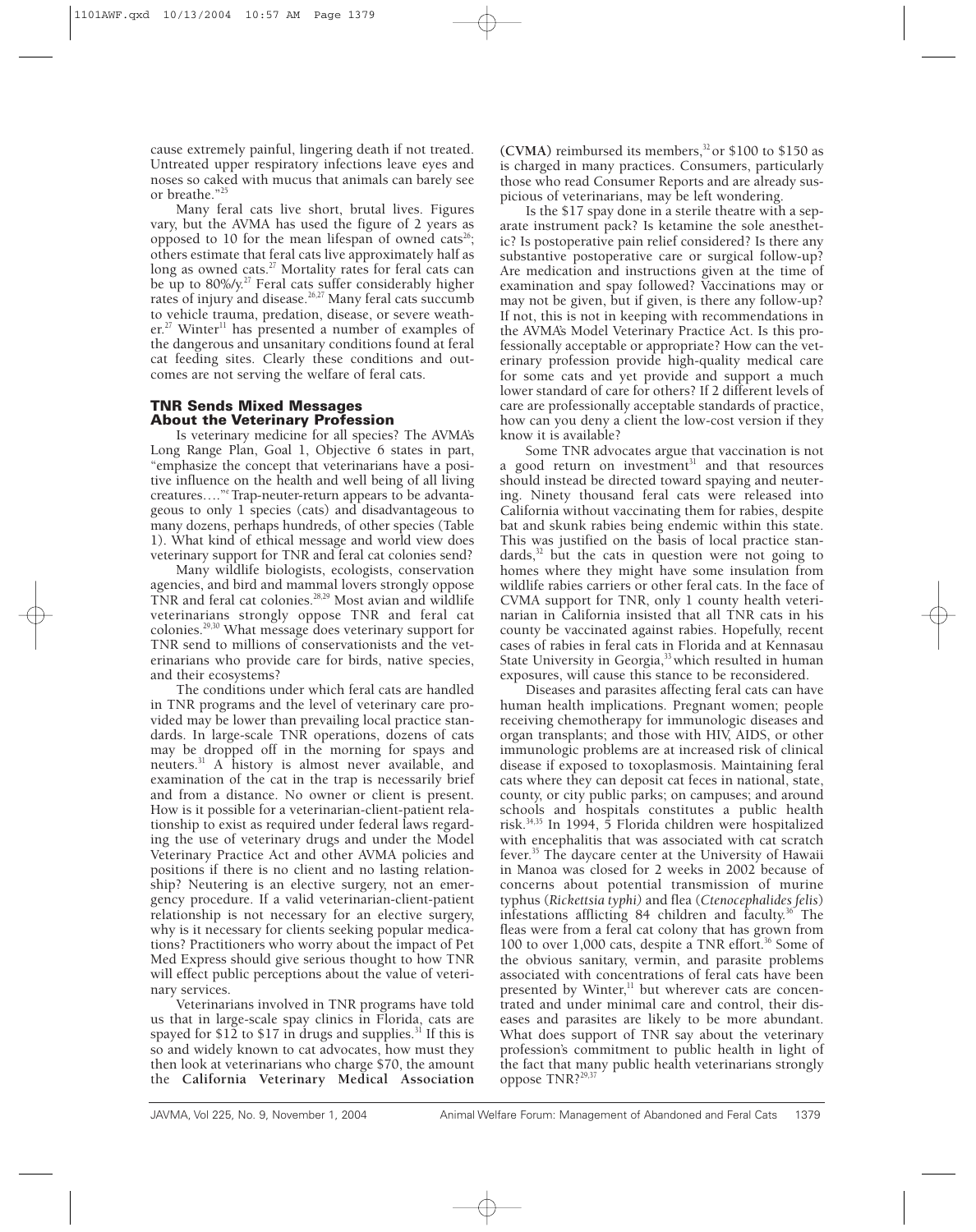cause extremely painful, lingering death if not treated. Untreated upper respiratory infections leave eyes and noses so caked with mucus that animals can barely see or breathe."<sup>25</sup>

Many feral cats live short, brutal lives. Figures vary, but the AVMA has used the figure of 2 years as opposed to 10 for the mean lifespan of owned cats<sup>26</sup>; others estimate that feral cats live approximately half as long as owned cats.<sup>27</sup> Mortality rates for feral cats can be up to 80%/y.<sup>27</sup> Feral cats suffer considerably higher rates of injury and disease.<sup>26,27</sup> Many feral cats succumb to vehicle trauma, predation, disease, or severe weath $er<sup>27</sup>$  Winter<sup>11</sup> has presented a number of examples of the dangerous and unsanitary conditions found at feral cat feeding sites. Clearly these conditions and outcomes are not serving the welfare of feral cats.

### **TNR Sends Mixed Messages About the Veterinary Profession**

Is veterinary medicine for all species? The AVMA's Long Range Plan, Goal 1, Objective 6 states in part, "emphasize the concept that veterinarians have a positive influence on the health and well being of all living creatures…."e Trap-neuter-return appears to be advantageous to only 1 species (cats) and disadvantageous to many dozens, perhaps hundreds, of other species (Table 1). What kind of ethical message and world view does veterinary support for TNR and feral cat colonies send?

Many wildlife biologists, ecologists, conservation agencies, and bird and mammal lovers strongly oppose TNR and feral cat colonies.<sup>28,29</sup> Most avian and wildlife veterinarians strongly oppose TNR and feral cat colonies.29,30 What message does veterinary support for TNR send to millions of conservationists and the veterinarians who provide care for birds, native species, and their ecosystems?

The conditions under which feral cats are handled in TNR programs and the level of veterinary care provided may be lower than prevailing local practice standards. In large-scale TNR operations, dozens of cats may be dropped off in the morning for spays and neuters.<sup>31</sup> A history is almost never available, and examination of the cat in the trap is necessarily brief and from a distance. No owner or client is present. How is it possible for a veterinarian-client-patient relationship to exist as required under federal laws regarding the use of veterinary drugs and under the Model Veterinary Practice Act and other AVMA policies and positions if there is no client and no lasting relationship? Neutering is an elective surgery, not an emergency procedure. If a valid veterinarian-client-patient relationship is not necessary for an elective surgery, why is it necessary for clients seeking popular medications? Practitioners who worry about the impact of Pet Med Express should give serious thought to how TNR will effect public perceptions about the value of veterinary services.

Veterinarians involved in TNR programs have told us that in large-scale spay clinics in Florida, cats are spayed for \$12 to \$17 in drugs and supplies.<sup>31</sup> If this is so and widely known to cat advocates, how must they then look at veterinarians who charge \$70, the amount the **California Veterinary Medical Association**

(CVMA) reimbursed its members, $32$  or \$100 to \$150 as is charged in many practices. Consumers, particularly those who read Consumer Reports and are already suspicious of veterinarians, may be left wondering.

Is the \$17 spay done in a sterile theatre with a separate instrument pack? Is ketamine the sole anesthetic? Is postoperative pain relief considered? Is there any substantive postoperative care or surgical follow-up? Are medication and instructions given at the time of examination and spay followed? Vaccinations may or may not be given, but if given, is there any follow-up? If not, this is not in keeping with recommendations in the AVMA's Model Veterinary Practice Act. Is this professionally acceptable or appropriate? How can the veterinary profession provide high-quality medical care for some cats and yet provide and support a much lower standard of care for others? If 2 different levels of care are professionally acceptable standards of practice, how can you deny a client the low-cost version if they know it is available?

Some TNR advocates argue that vaccination is not a good return on investment<sup>31</sup> and that resources should instead be directed toward spaying and neutering. Ninety thousand feral cats were released into California without vaccinating them for rabies, despite bat and skunk rabies being endemic within this state. This was justified on the basis of local practice standards, $32$  but the cats in question were not going to homes where they might have some insulation from wildlife rabies carriers or other feral cats. In the face of CVMA support for TNR, only 1 county health veterinarian in California insisted that all TNR cats in his county be vaccinated against rabies. Hopefully, recent cases of rabies in feral cats in Florida and at Kennasau State University in Georgia,<sup>33</sup> which resulted in human exposures, will cause this stance to be reconsidered.

Diseases and parasites affecting feral cats can have human health implications. Pregnant women; people receiving chemotherapy for immunologic diseases and organ transplants; and those with HIV, AIDS, or other immunologic problems are at increased risk of clinical disease if exposed to toxoplasmosis. Maintaining feral cats where they can deposit cat feces in national, state, county, or city public parks; on campuses; and around schools and hospitals constitutes a public health risk.34,35 In 1994, 5 Florida children were hospitalized with encephalitis that was associated with cat scratch fever.<sup>35</sup> The daycare center at the University of Hawaii in Manoa was closed for 2 weeks in 2002 because of concerns about potential transmission of murine typhus (*Rickettsia typhi)* and flea (*Ctenocephalides felis*) infestations afflicting  $84$  children and faculty.<sup>36</sup> The fleas were from a feral cat colony that has grown from 100 to over 1,000 cats, despite a TNR effort.<sup>36</sup> Some of the obvious sanitary, vermin, and parasite problems associated with concentrations of feral cats have been presented by Winter, $11$  but wherever cats are concentrated and under minimal care and control, their diseases and parasites are likely to be more abundant. What does support of TNR say about the veterinary profession's commitment to public health in light of the fact that many public health veterinarians strongly oppose TNR?29,37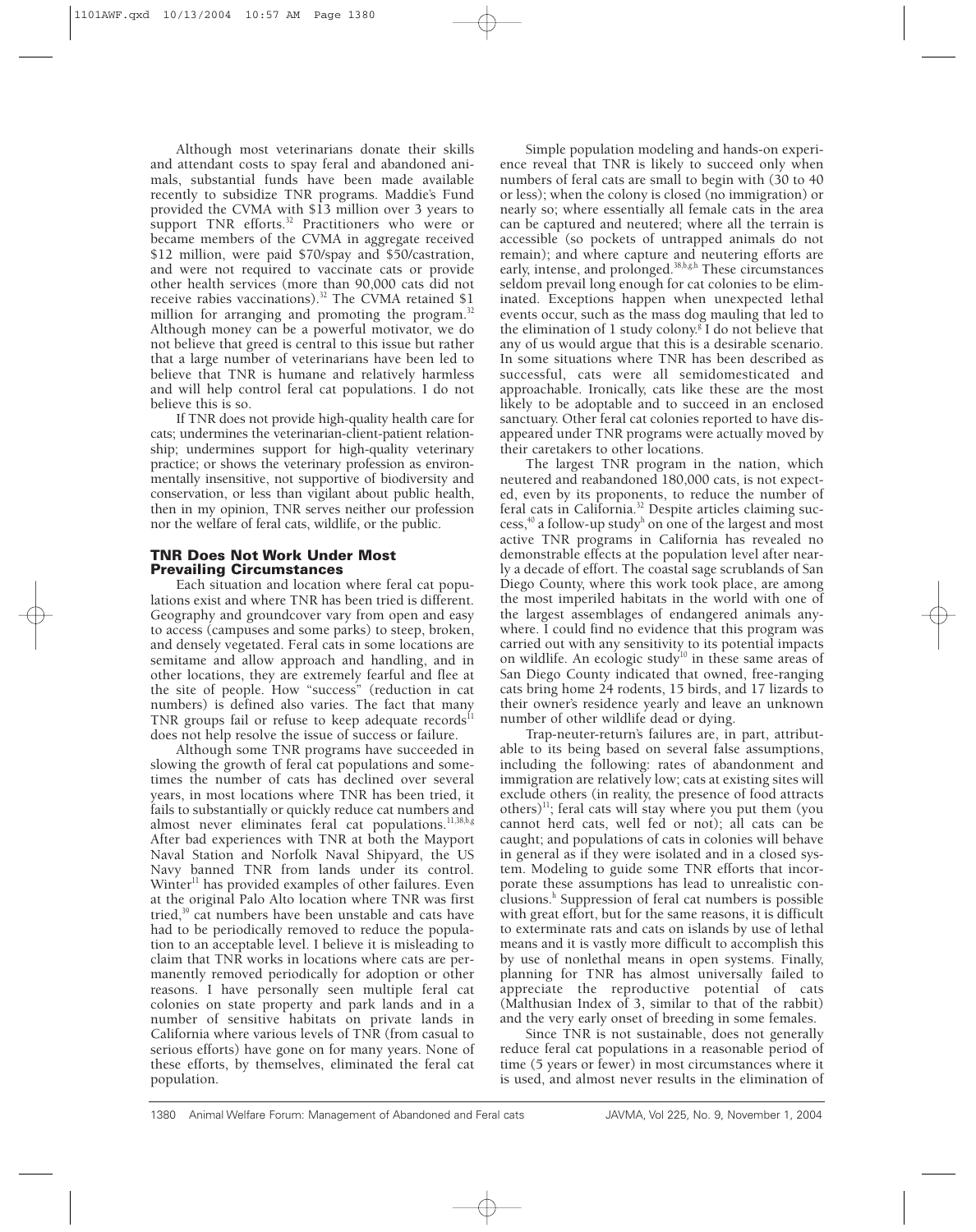Although most veterinarians donate their skills and attendant costs to spay feral and abandoned animals, substantial funds have been made available recently to subsidize TNR programs. Maddie's Fund provided the CVMA with \$13 million over 3 years to support TNR efforts.<sup>32</sup> Practitioners who were or became members of the CVMA in aggregate received \$12 million, were paid \$70/spay and \$50/castration, and were not required to vaccinate cats or provide other health services (more than 90,000 cats did not receive rabies vaccinations).<sup>32</sup> The CVMA retained \$1 million for arranging and promoting the program.<sup>32</sup> Although money can be a powerful motivator, we do not believe that greed is central to this issue but rather that a large number of veterinarians have been led to believe that TNR is humane and relatively harmless and will help control feral cat populations. I do not believe this is so.

If TNR does not provide high-quality health care for cats; undermines the veterinarian-client-patient relationship; undermines support for high-quality veterinary practice; or shows the veterinary profession as environmentally insensitive, not supportive of biodiversity and conservation, or less than vigilant about public health, then in my opinion, TNR serves neither our profession nor the welfare of feral cats, wildlife, or the public.

## **TNR Does Not Work Under Most Prevailing Circumstances**

Each situation and location where feral cat populations exist and where TNR has been tried is different. Geography and groundcover vary from open and easy to access (campuses and some parks) to steep, broken, and densely vegetated. Feral cats in some locations are semitame and allow approach and handling, and in other locations, they are extremely fearful and flee at the site of people. How "success" (reduction in cat numbers) is defined also varies. The fact that many TNR groups fail or refuse to keep adequate records $^{11}$ does not help resolve the issue of success or failure.

Although some TNR programs have succeeded in slowing the growth of feral cat populations and sometimes the number of cats has declined over several years, in most locations where TNR has been tried, it fails to substantially or quickly reduce cat numbers and almost never eliminates feral cat populations.<sup>11,38,b,g</sup> After bad experiences with TNR at both the Mayport Naval Station and Norfolk Naval Shipyard, the US Navy banned TNR from lands under its control. Winter<sup>11</sup> has provided examples of other failures. Even at the original Palo Alto location where TNR was first tried,<sup>39</sup> cat numbers have been unstable and cats have had to be periodically removed to reduce the population to an acceptable level. I believe it is misleading to claim that TNR works in locations where cats are permanently removed periodically for adoption or other reasons. I have personally seen multiple feral cat colonies on state property and park lands and in a number of sensitive habitats on private lands in California where various levels of TNR (from casual to serious efforts) have gone on for many years. None of these efforts, by themselves, eliminated the feral cat population.

Simple population modeling and hands-on experience reveal that TNR is likely to succeed only when numbers of feral cats are small to begin with (30 to 40 or less); when the colony is closed (no immigration) or nearly so; where essentially all female cats in the area can be captured and neutered; where all the terrain is accessible (so pockets of untrapped animals do not remain); and where capture and neutering efforts are early, intense, and prolonged.<sup>38,b,g,h</sup> These circumstances seldom prevail long enough for cat colonies to be eliminated. Exceptions happen when unexpected lethal events occur, such as the mass dog mauling that led to the elimination of 1 study colony.<sup>g</sup> I do not believe that any of us would argue that this is a desirable scenario. In some situations where TNR has been described as successful, cats were all semidomesticated and approachable. Ironically, cats like these are the most likely to be adoptable and to succeed in an enclosed sanctuary. Other feral cat colonies reported to have disappeared under TNR programs were actually moved by their caretakers to other locations.

The largest TNR program in the nation, which neutered and reabandoned 180,000 cats, is not expected, even by its proponents, to reduce the number of feral cats in California. $^{32}$  Despite articles claiming suc- ${\rm cess},^{40}$  a follow-up study<sup>h</sup> on one of the largest and most active TNR programs in California has revealed no demonstrable effects at the population level after nearly a decade of effort. The coastal sage scrublands of San Diego County, where this work took place, are among the most imperiled habitats in the world with one of the largest assemblages of endangered animals anywhere. I could find no evidence that this program was carried out with any sensitivity to its potential impacts on wildlife. An ecologic study $10$  in these same areas of San Diego County indicated that owned, free-ranging cats bring home 24 rodents, 15 birds, and 17 lizards to their owner's residence yearly and leave an unknown number of other wildlife dead or dying.

Trap-neuter-return's failures are, in part, attributable to its being based on several false assumptions, including the following: rates of abandonment and immigration are relatively low; cats at existing sites will exclude others (in reality, the presence of food attracts others) $<sup>11</sup>$ ; feral cats will stay where you put them (you</sup> cannot herd cats, well fed or not); all cats can be caught; and populations of cats in colonies will behave in general as if they were isolated and in a closed system. Modeling to guide some TNR efforts that incorporate these assumptions has lead to unrealistic conclusions.<sup>h</sup> Suppression of feral cat numbers is possible with great effort, but for the same reasons, it is difficult to exterminate rats and cats on islands by use of lethal means and it is vastly more difficult to accomplish this by use of nonlethal means in open systems. Finally, planning for TNR has almost universally failed to appreciate the reproductive potential of cats (Malthusian Index of 3, similar to that of the rabbit) and the very early onset of breeding in some females.

Since TNR is not sustainable, does not generally reduce feral cat populations in a reasonable period of time (5 years or fewer) in most circumstances where it is used, and almost never results in the elimination of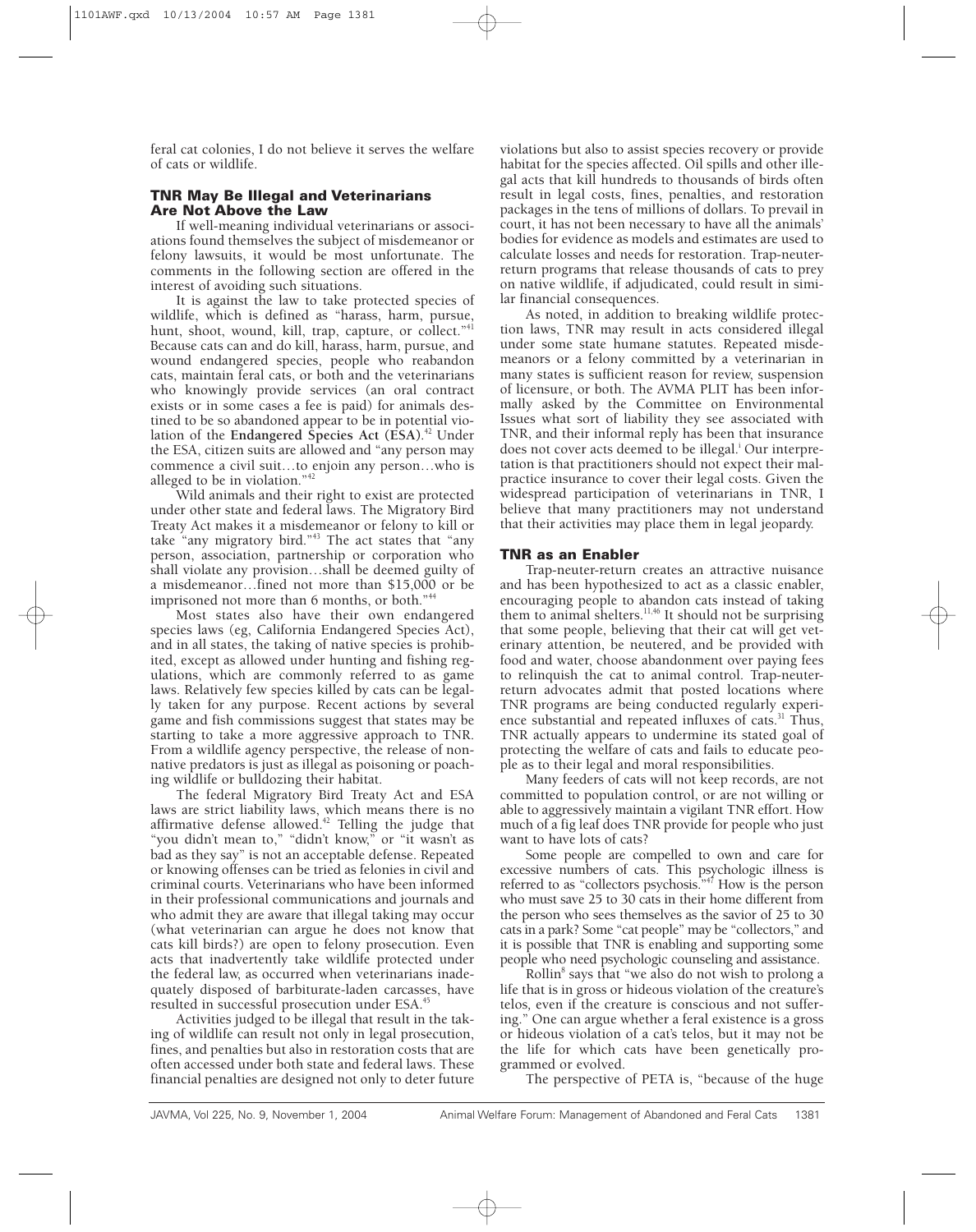feral cat colonies, I do not believe it serves the welfare of cats or wildlife.

### **TNR May Be Illegal and Veterinarians Are Not Above the Law**

If well-meaning individual veterinarians or associations found themselves the subject of misdemeanor or felony lawsuits, it would be most unfortunate. The comments in the following section are offered in the interest of avoiding such situations.

It is against the law to take protected species of wildlife, which is defined as "harass, harm, pursue, hunt, shoot, wound, kill, trap, capture, or collect."<sup>41</sup> Because cats can and do kill, harass, harm, pursue, and wound endangered species, people who reabandon cats, maintain feral cats, or both and the veterinarians who knowingly provide services (an oral contract exists or in some cases a fee is paid) for animals destined to be so abandoned appear to be in potential violation of the **Endangered Species Act (ESA)**. <sup>42</sup> Under the ESA, citizen suits are allowed and "any person may commence a civil suit…to enjoin any person…who is alleged to be in violation."42

Wild animals and their right to exist are protected under other state and federal laws. The Migratory Bird Treaty Act makes it a misdemeanor or felony to kill or take "any migratory bird."43 The act states that "any person, association, partnership or corporation who shall violate any provision…shall be deemed guilty of a misdemeanor…fined not more than \$15,000 or be imprisoned not more than 6 months, or both."<sup>44</sup>

Most states also have their own endangered species laws (eg, California Endangered Species Act), and in all states, the taking of native species is prohibited, except as allowed under hunting and fishing regulations, which are commonly referred to as game laws. Relatively few species killed by cats can be legally taken for any purpose. Recent actions by several game and fish commissions suggest that states may be starting to take a more aggressive approach to TNR. From a wildlife agency perspective, the release of nonnative predators is just as illegal as poisoning or poaching wildlife or bulldozing their habitat.

The federal Migratory Bird Treaty Act and ESA laws are strict liability laws, which means there is no affirmative defense allowed.<sup>42</sup> Telling the judge that "you didn't mean to," "didn't know," or "it wasn't as bad as they say" is not an acceptable defense. Repeated or knowing offenses can be tried as felonies in civil and criminal courts. Veterinarians who have been informed in their professional communications and journals and who admit they are aware that illegal taking may occur (what veterinarian can argue he does not know that cats kill birds?) are open to felony prosecution. Even acts that inadvertently take wildlife protected under the federal law, as occurred when veterinarians inadequately disposed of barbiturate-laden carcasses, have resulted in successful prosecution under ESA.<sup>45</sup>

Activities judged to be illegal that result in the taking of wildlife can result not only in legal prosecution, fines, and penalties but also in restoration costs that are often accessed under both state and federal laws. These financial penalties are designed not only to deter future violations but also to assist species recovery or provide habitat for the species affected. Oil spills and other illegal acts that kill hundreds to thousands of birds often result in legal costs, fines, penalties, and restoration packages in the tens of millions of dollars. To prevail in court, it has not been necessary to have all the animals' bodies for evidence as models and estimates are used to calculate losses and needs for restoration. Trap-neuterreturn programs that release thousands of cats to prey on native wildlife, if adjudicated, could result in similar financial consequences.

As noted, in addition to breaking wildlife protection laws, TNR may result in acts considered illegal under some state humane statutes. Repeated misdemeanors or a felony committed by a veterinarian in many states is sufficient reason for review, suspension of licensure, or both. The AVMA PLIT has been informally asked by the Committee on Environmental Issues what sort of liability they see associated with TNR, and their informal reply has been that insurance does not cover acts deemed to be illegal.<sup>1</sup> Our interpretation is that practitioners should not expect their malpractice insurance to cover their legal costs. Given the widespread participation of veterinarians in TNR, I believe that many practitioners may not understand that their activities may place them in legal jeopardy.

## **TNR as an Enabler**

Trap-neuter-return creates an attractive nuisance and has been hypothesized to act as a classic enabler, encouraging people to abandon cats instead of taking them to animal shelters.<sup>11,46</sup> It should not be surprising that some people, believing that their cat will get veterinary attention, be neutered, and be provided with food and water, choose abandonment over paying fees to relinquish the cat to animal control. Trap-neuterreturn advocates admit that posted locations where TNR programs are being conducted regularly experience substantial and repeated influxes of cats.<sup>31</sup> Thus, TNR actually appears to undermine its stated goal of protecting the welfare of cats and fails to educate people as to their legal and moral responsibilities.

Many feeders of cats will not keep records, are not committed to population control, or are not willing or able to aggressively maintain a vigilant TNR effort. How much of a fig leaf does TNR provide for people who just want to have lots of cats?

Some people are compelled to own and care for excessive numbers of cats. This psychologic illness is referred to as "collectors psychosis."47 How is the person who must save 25 to 30 cats in their home different from the person who sees themselves as the savior of 25 to 30 cats in a park? Some "cat people" may be "collectors," and it is possible that TNR is enabling and supporting some people who need psychologic counseling and assistance.

Rollin<sup>8</sup> says that "we also do not wish to prolong a life that is in gross or hideous violation of the creature's telos*,* even if the creature is conscious and not suffering." One can argue whether a feral existence is a gross or hideous violation of a cat's telos, but it may not be the life for which cats have been genetically programmed or evolved.

The perspective of PETA is, "because of the huge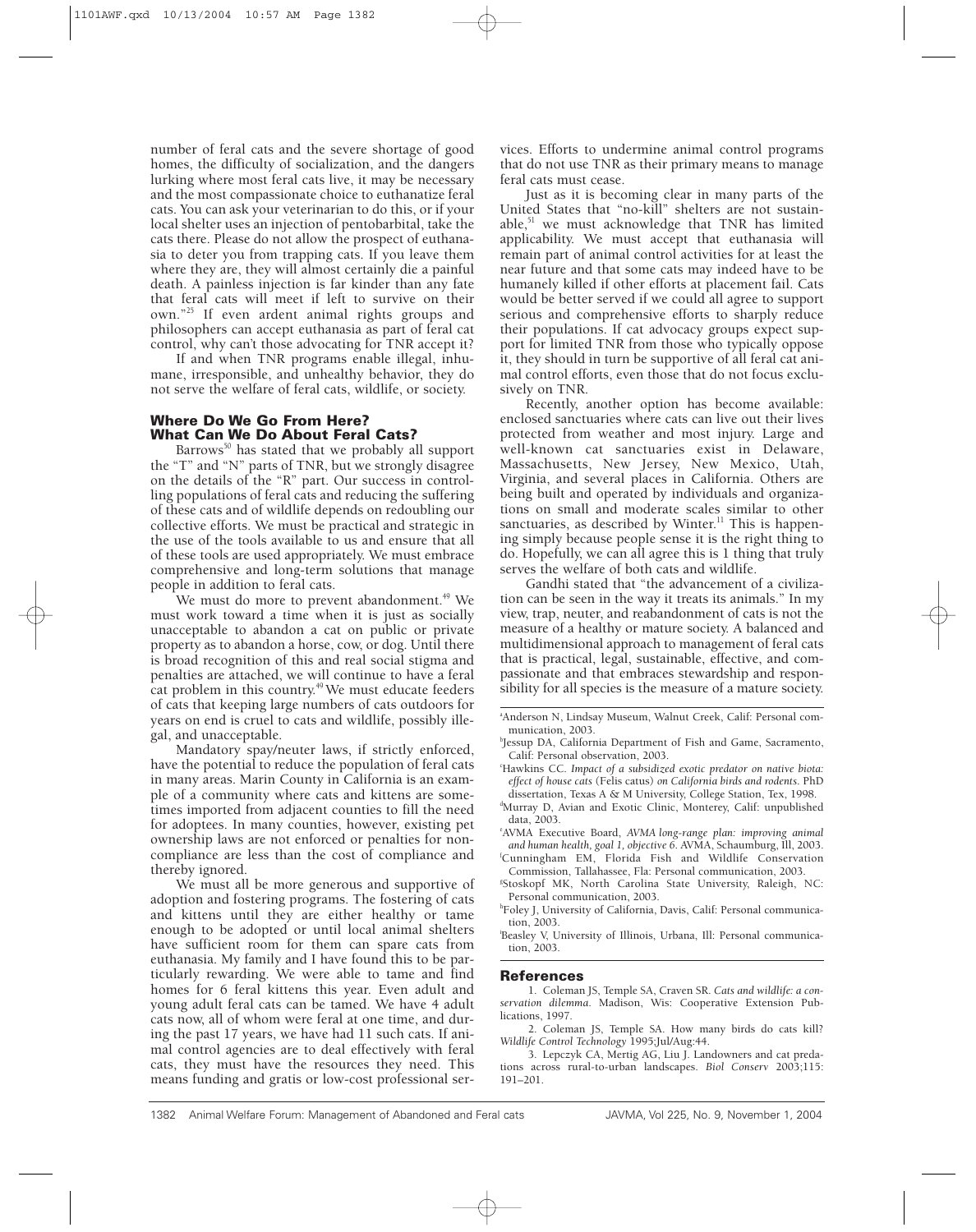number of feral cats and the severe shortage of good homes, the difficulty of socialization, and the dangers lurking where most feral cats live, it may be necessary and the most compassionate choice to euthanatize feral cats. You can ask your veterinarian to do this, or if your local shelter uses an injection of pentobarbital, take the cats there. Please do not allow the prospect of euthanasia to deter you from trapping cats. If you leave them where they are, they will almost certainly die a painful death. A painless injection is far kinder than any fate that feral cats will meet if left to survive on their own."25 If even ardent animal rights groups and philosophers can accept euthanasia as part of feral cat control, why can't those advocating for TNR accept it?

If and when TNR programs enable illegal, inhumane, irresponsible, and unhealthy behavior, they do not serve the welfare of feral cats, wildlife, or society.

#### **Where Do We Go From Here? What Can We Do About Feral Cats?**

Barrows $^{50}$  has stated that we probably all support the "T" and "N" parts of TNR, but we strongly disagree on the details of the "R" part. Our success in controlling populations of feral cats and reducing the suffering of these cats and of wildlife depends on redoubling our collective efforts. We must be practical and strategic in the use of the tools available to us and ensure that all of these tools are used appropriately. We must embrace comprehensive and long-term solutions that manage people in addition to feral cats.

We must do more to prevent abandonment.<sup>49</sup> We must work toward a time when it is just as socially unacceptable to abandon a cat on public or private property as to abandon a horse, cow, or dog. Until there is broad recognition of this and real social stigma and penalties are attached, we will continue to have a feral cat problem in this country.<sup>49</sup> We must educate feeders of cats that keeping large numbers of cats outdoors for years on end is cruel to cats and wildlife, possibly illegal, and unacceptable.

Mandatory spay/neuter laws, if strictly enforced, have the potential to reduce the population of feral cats in many areas. Marin County in California is an example of a community where cats and kittens are sometimes imported from adjacent counties to fill the need for adoptees. In many counties, however, existing pet ownership laws are not enforced or penalties for noncompliance are less than the cost of compliance and thereby ignored.

We must all be more generous and supportive of adoption and fostering programs. The fostering of cats and kittens until they are either healthy or tame enough to be adopted or until local animal shelters have sufficient room for them can spare cats from euthanasia. My family and I have found this to be particularly rewarding. We were able to tame and find homes for 6 feral kittens this year. Even adult and young adult feral cats can be tamed. We have 4 adult cats now, all of whom were feral at one time, and during the past 17 years, we have had 11 such cats. If animal control agencies are to deal effectively with feral cats, they must have the resources they need. This means funding and gratis or low-cost professional services. Efforts to undermine animal control programs that do not use TNR as their primary means to manage feral cats must cease.

Just as it is becoming clear in many parts of the United States that "no-kill" shelters are not sustainable, $51$  we must acknowledge that TNR has limited applicability. We must accept that euthanasia will remain part of animal control activities for at least the near future and that some cats may indeed have to be humanely killed if other efforts at placement fail. Cats would be better served if we could all agree to support serious and comprehensive efforts to sharply reduce their populations. If cat advocacy groups expect support for limited TNR from those who typically oppose it, they should in turn be supportive of all feral cat animal control efforts, even those that do not focus exclusively on TNR.

Recently, another option has become available: enclosed sanctuaries where cats can live out their lives protected from weather and most injury. Large and well-known cat sanctuaries exist in Delaware, Massachusetts, New Jersey, New Mexico, Utah, Virginia, and several places in California. Others are being built and operated by individuals and organizations on small and moderate scales similar to other sanctuaries, as described by Winter.<sup>11</sup> This is happening simply because people sense it is the right thing to do. Hopefully, we can all agree this is 1 thing that truly serves the welfare of both cats and wildlife.

Gandhi stated that "the advancement of a civilization can be seen in the way it treats its animals." In my view, trap, neuter, and reabandonment of cats is not the measure of a healthy or mature society. A balanced and multidimensional approach to management of feral cats that is practical, legal, sustainable, effective, and compassionate and that embraces stewardship and responsibility for all species is the measure of a mature society.

- b Jessup DA, California Department of Fish and Game, Sacramento, Calif: Personal observation, 2003.
- Hawkins CC. *Impact of a subsidized exotic predator on native biota: effect of house cats* (Felis catus) *on California birds and rodents*. PhD dissertation, Texas A & M University, College Station, Tex, 1998.
- d Murray D, Avian and Exotic Clinic, Monterey, Calif: unpublished data, 2003.
- e AVMA Executive Board, *AVMA long-range plan: improving animal and human health, goal 1, objective 6*. AVMA, Schaumburg, Ill, 2003.
- f Cunningham EM, Florida Fish and Wildlife Conservation Commission, Tallahassee, Fla: Personal communication, 2003.
- g Stoskopf MK, North Carolina State University, Raleigh, NC: Personal communication, 2003.
- h Foley J, University of California, Davis, Calif: Personal communication, 2003.
- i Beasley V, University of Illinois, Urbana, Ill: Personal communication, 2003.

#### **References**

1. Coleman JS, Temple SA, Craven SR. *Cats and wildlife: a conservation dilemma*. Madison, Wis: Cooperative Extension Publications, 1997.

2. Coleman JS, Temple SA. How many birds do cats kill? *Wildlife Control Technology* 1995;Jul/Aug:44.

3. Lepczyk CA, Mertig AG, Liu J. Landowners and cat predations across rural-to-urban landscapes. *Biol Conserv* 2003;115: 191–201.

a Anderson N, Lindsay Museum, Walnut Creek, Calif: Personal communication, 2003.